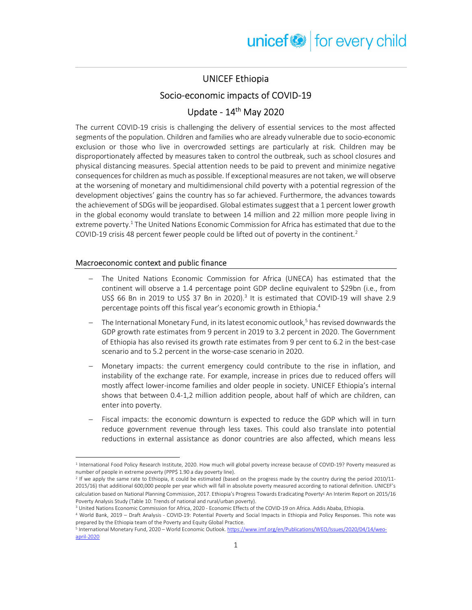## UNICEF Ethiopia

### Socio-economic impacts of COVID-19

# Update - 14th May 2020

The current COVID-19 crisis is challenging the delivery of essential services to the most affected segments of the population. Children and families who are already vulnerable due to socio-economic exclusion or those who live in overcrowded settings are particularly at risk. Children may be disproportionately affected by measures taken to control the outbreak, such as school closures and physical distancing measures. Special attention needs to be paid to prevent and minimize negative consequences for children as much as possible. If exceptional measures are not taken, we will observe at the worsening of monetary and multidimensional child poverty with a potential regression of the development objectives' gains the country has so far achieved. Furthermore, the advances towards the achievement of SDGs will be jeopardised. Global estimates suggest that a 1 percent lower growth in the global economy would translate to between 14 million and 22 million more people living in extreme poverty.<sup>1</sup> The United Nations Economic Commission for Africa has estimated that due to the COVID-19 crisis 48 percent fewer people could be lifted out of poverty in the continent.<sup>2</sup>

#### Macroeconomic context and public finance

- The United Nations Economic Commission for Africa (UNECA) has estimated that the continent will observe a 1.4 percentage point GDP decline equivalent to \$29bn (i.e., from US\$ 66 Bn in 2019 to US\$ 37 Bn in 2020).<sup>3</sup> It is estimated that COVID-19 will shave 2.9 percentage points off this fiscal year's economic growth in Ethiopia.<sup>4</sup>
- The International Monetary Fund, in its latest economic outlook,<sup>5</sup> has revised downwards the GDP growth rate estimates from 9 percent in 2019 to 3.2 percent in 2020. The Government of Ethiopia has also revised its growth rate estimates from 9 per cent to 6.2 in the best-case scenario and to 5.2 percent in the worse-case scenario in 2020.
- Monetary impacts: the current emergency could contribute to the rise in inflation, and instability of the exchange rate. For example, increase in prices due to reduced offers will mostly affect lower-income families and older people in society. UNICEF Ethiopia's internal shows that between 0.4-1,2 million addition people, about half of which are children, can enter into poverty.
- Fiscal impacts: the economic downturn is expected to reduce the GDP which will in turn reduce government revenue through less taxes. This could also translate into potential reductions in external assistance as donor countries are also affected, which means less

3 United Nations Economic Commission for Africa, 2020 - Economic Effects of the COVID-19 on Africa. Addis Ababa, Ethiopia.

<sup>&</sup>lt;sup>1</sup> International Food Policy Research Institute, 2020. How much will global poverty increase because of COVID-19? Poverty measured as number of people in extreme poverty (PPP\$ 1.90 a day poverty line).

<sup>&</sup>lt;sup>2</sup> If we apply the same rate to Ethiopia, it could be estimated (based on the progress made by the country during the period 2010/11-2015/16) that additional 600,000 people per year which will fall in absolute poverty measured according to national definition. UNICEF's calculation based on National Planning Commission, 2017. Ethiopia's Progress Towards Eradicating Poverty፡ An Interim Report on 2015/16 Poverty Analysis Study (Table 10: Trends of national and rural/urban poverty).

<sup>4</sup> World Bank, 2019 – Draft Analysis - COVID-19: Potential Poverty and Social Impacts in Ethiopia and Policy Responses. This note was prepared by the Ethiopia team of the Poverty and Equity Global Practice.

<sup>&</sup>lt;sup>5</sup> International Monetary Fund, 2020 – World Economic Outlook. https://www.imf.org/en/Publications/WEO/Issues/2020/04/14/weoapril-2020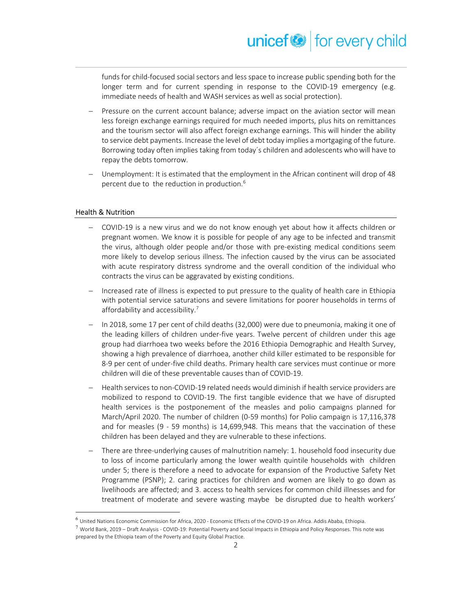funds for child-focused social sectors and less space to increase public spending both for the longer term and for current spending in response to the COVID-19 emergency (e.g. immediate needs of health and WASH services as well as social protection).

- Pressure on the current account balance; adverse impact on the aviation sector will mean less foreign exchange earnings required for much needed imports, plus hits on remittances and the tourism sector will also affect foreign exchange earnings. This will hinder the ability to service debt payments. Increase the level of debt today implies a mortgaging of the future. Borrowing today often implies taking from today´s children and adolescents who will have to repay the debts tomorrow.
- Unemployment: It is estimated that the employment in the African continent will drop of 48 percent due to the reduction in production.<sup>6</sup>

#### Health & Nutrition

- COVID-19 is a new virus and we do not know enough yet about how it affects children or pregnant women. We know it is possible for people of any age to be infected and transmit the virus, although older people and/or those with pre-existing medical conditions seem more likely to develop serious illness. The infection caused by the virus can be associated with acute respiratory distress syndrome and the overall condition of the individual who contracts the virus can be aggravated by existing conditions.
- Increased rate of illness is expected to put pressure to the quality of health care in Ethiopia with potential service saturations and severe limitations for poorer households in terms of affordability and accessibility.<sup>7</sup>
- In 2018, some 17 per cent of child deaths (32,000) were due to pneumonia, making it one of the leading killers of children under-five years. Twelve percent of children under this age group had diarrhoea two weeks before the 2016 Ethiopia Demographic and Health Survey, showing a high prevalence of diarrhoea, another child killer estimated to be responsible for 8-9 per cent of under-five child deaths. Primary health care services must continue or more children will die of these preventable causes than of COVID-19.
- Health services to non-COVID-19 related needs would diminish if health service providers are mobilized to respond to COVID-19. The first tangible evidence that we have of disrupted health services is the postponement of the measles and polio campaigns planned for March/April 2020. The number of children (0-59 months) for Polio campaign is 17,116,378 and for measles (9 - 59 months) is 14,699,948. This means that the vaccination of these children has been delayed and they are vulnerable to these infections.
- There are three-underlying causes of malnutrition namely: 1. household food insecurity due to loss of income particularly among the lower wealth quintile households with children under 5; there is therefore a need to advocate for expansion of the Productive Safety Net Programme (PSNP); 2. caring practices for children and women are likely to go down as livelihoods are affected; and 3. access to health services for common child illnesses and for treatment of moderate and severe wasting maybe be disrupted due to health workers'

 $^6$  United Nations Economic Commission for Africa, 2020 - Economic Effects of the COVID-19 on Africa. Addis Ababa, Ethiopia.

 $^7$  World Bank, 2019 – Draft Analysis - COVID-19: Potential Poverty and Social Impacts in Ethiopia and Policy Responses. This note was prepared by the Ethiopia team of the Poverty and Equity Global Practice.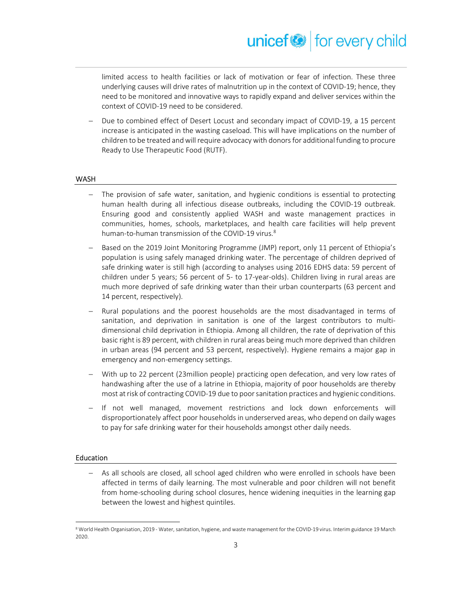limited access to health facilities or lack of motivation or fear of infection. These three underlying causes will drive rates of malnutrition up in the context of COVID-19; hence, they need to be monitored and innovative ways to rapidly expand and deliver services within the context of COVID-19 need to be considered.

 Due to combined effect of Desert Locust and secondary impact of COVID-19, a 15 percent increase is anticipated in the wasting caseload. This will have implications on the number of children to be treated and will require advocacy with donors for additional funding to procure Ready to Use Therapeutic Food (RUTF).

#### WASH

- The provision of safe water, sanitation, and hygienic conditions is essential to protecting human health during all infectious disease outbreaks, including the COVID-19 outbreak. Ensuring good and consistently applied WASH and waste management practices in communities, homes, schools, marketplaces, and health care facilities will help prevent human-to-human transmission of the COVID-19 virus.<sup>8</sup>
- Based on the 2019 Joint Monitoring Programme (JMP) report, only 11 percent of Ethiopia's population is using safely managed drinking water. The percentage of children deprived of safe drinking water is still high (according to analyses using 2016 EDHS data: 59 percent of children under 5 years; 56 percent of 5- to 17-year-olds). Children living in rural areas are much more deprived of safe drinking water than their urban counterparts (63 percent and 14 percent, respectively).
- Rural populations and the poorest households are the most disadvantaged in terms of sanitation, and deprivation in sanitation is one of the largest contributors to multidimensional child deprivation in Ethiopia. Among all children, the rate of deprivation of this basic right is 89 percent, with children in rural areas being much more deprived than children in urban areas (94 percent and 53 percent, respectively). Hygiene remains a major gap in emergency and non-emergency settings.
- With up to 22 percent (23million people) practicing open defecation, and very low rates of handwashing after the use of a latrine in Ethiopia, majority of poor households are thereby most at risk of contracting COVID-19 due to poor sanitation practices and hygienic conditions.
- If not well managed, movement restrictions and lock down enforcements will disproportionately affect poor households in underserved areas, who depend on daily wages to pay for safe drinking water for their households amongst other daily needs.

#### Education

 As all schools are closed, all school aged children who were enrolled in schools have been affected in terms of daily learning. The most vulnerable and poor children will not benefit from home-schooling during school closures, hence widening inequities in the learning gap between the lowest and highest quintiles.

<sup>&</sup>lt;sup>8</sup> World Health Organisation, 2019 - Water, sanitation, hygiene, and waste management for the COVID-19 virus. Interim guidance 19 March 2020.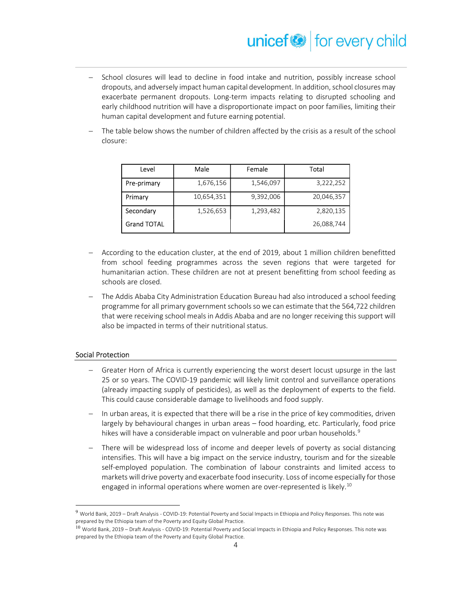# unicef<sup>®</sup> for every child

- School closures will lead to decline in food intake and nutrition, possibly increase school dropouts, and adversely impact human capital development. In addition, school closures may exacerbate permanent dropouts. Long-term impacts relating to disrupted schooling and early childhood nutrition will have a disproportionate impact on poor families, limiting their human capital development and future earning potential.
- The table below shows the number of children affected by the crisis as a result of the school closure:

| Level              | Male       | Female    | Total      |
|--------------------|------------|-----------|------------|
| Pre-primary        | 1,676,156  | 1,546,097 | 3,222,252  |
| Primary            | 10,654,351 | 9,392,006 | 20,046,357 |
| Secondary          | 1,526,653  | 1,293,482 | 2,820,135  |
| <b>Grand TOTAL</b> |            |           | 26,088,744 |

- According to the education cluster, at the end of 2019, about 1 million children benefitted from school feeding programmes across the seven regions that were targeted for humanitarian action. These children are not at present benefitting from school feeding as schools are closed.
- The Addis Ababa City Administration Education Bureau had also introduced a school feeding programme for all primary government schools so we can estimate that the 564,722 children that were receiving school meals in Addis Ababa and are no longer receiving this support will also be impacted in terms of their nutritional status.

#### Social Protection

- Greater Horn of Africa is currently experiencing the worst desert locust upsurge in the last 25 or so years. The COVID-19 pandemic will likely limit control and surveillance operations (already impacting supply of pesticides), as well as the deployment of experts to the field. This could cause considerable damage to livelihoods and food supply.
- In urban areas, it is expected that there will be a rise in the price of key commodities, driven largely by behavioural changes in urban areas – food hoarding, etc. Particularly, food price hikes will have a considerable impact on vulnerable and poor urban households.<sup>9</sup>
- There will be widespread loss of income and deeper levels of poverty as social distancing intensifies. This will have a big impact on the service industry, tourism and for the sizeable self-employed population. The combination of labour constraints and limited access to markets will drive poverty and exacerbate food insecurity. Loss of income especially for those engaged in informal operations where women are over-represented is likely.<sup>10</sup>

<sup>9</sup> World Bank, 2019 – Draft Analysis - COVID-19: Potential Poverty and Social Impacts in Ethiopia and Policy Responses. This note was prepared by the Ethiopia team of the Poverty and Equity Global Practice.

<sup>10</sup> World Bank, 2019 – Draft Analysis - COVID-19: Potential Poverty and Social Impacts in Ethiopia and Policy Responses. This note was prepared by the Ethiopia team of the Poverty and Equity Global Practice.